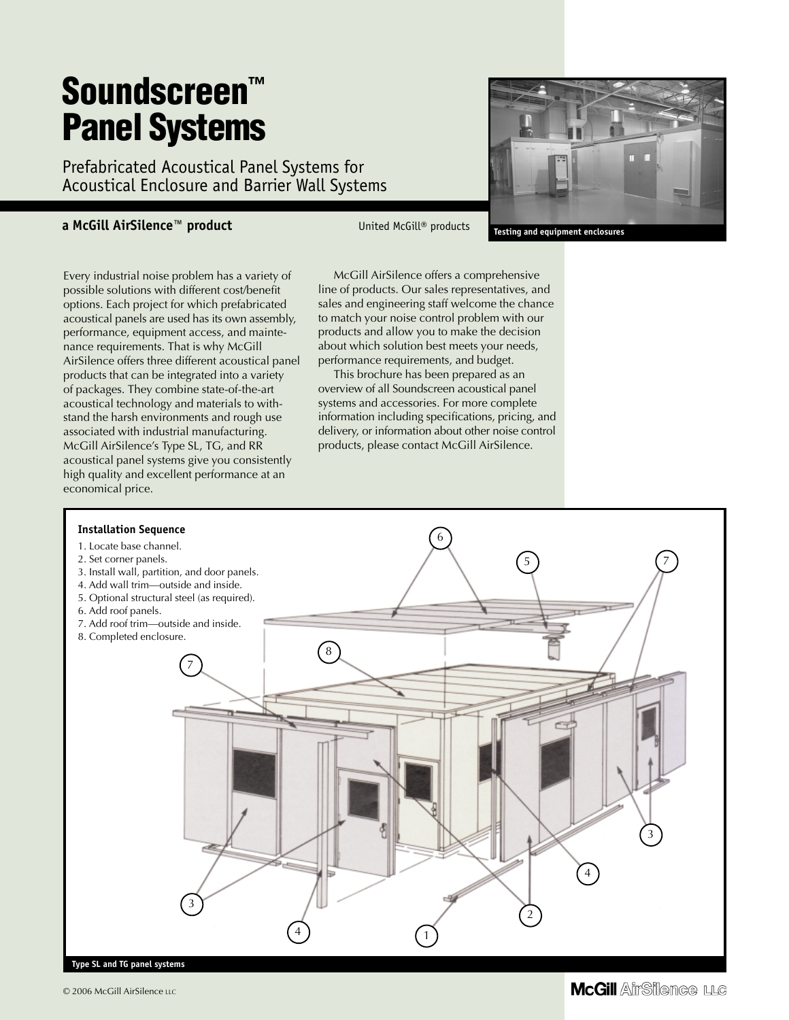# **Soundscreen™ Panel Systems**

Prefabricated Acoustical Panel Systems for Acoustical Enclosure and Barrier Wall Systems

#### **a McGill AirSilence™ product** United McGill® products

**Testing and equipment enclosures**

Every industrial noise problem has a variety of possible solutions with different cost/benefit options. Each project for which prefabricated acoustical panels are used has its own assembly, performance, equipment access, and maintenance requirements. That is why McGill AirSilence offers three different acoustical panel products that can be integrated into a variety of packages. They combine state-of-the-art acoustical technology and materials to withstand the harsh environments and rough use associated with industrial manufacturing. McGill AirSilence's Type SL, TG, and RR acoustical panel systems give you consistently high quality and excellent performance at an economical price.

McGill AirSilence offers a comprehensive line of products. Our sales representatives, and sales and engineering staff welcome the chance to match your noise control problem with our products and allow you to make the decision about which solution best meets your needs, performance requirements, and budget.

This brochure has been prepared as an overview of all Soundscreen acoustical panel systems and accessories. For more complete information including specifications, pricing, and delivery, or information about other noise control products, please contact McGill AirSilence.



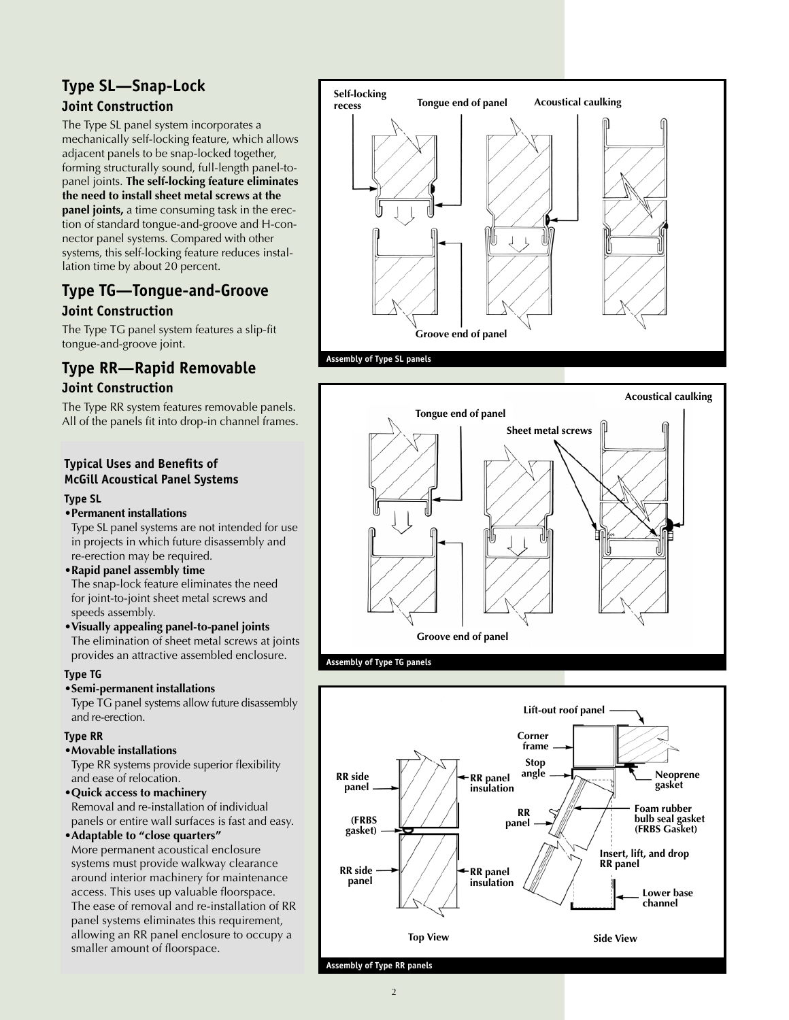## **Type SL—Snap-Lock Joint Construction**

The Type SL panel system incorporates a mechanically self-locking feature, which allows adjacent panels to be snap-locked together, forming structurally sound, full-length panel-topanel joints. **The self-locking feature eliminates the need to install sheet metal screws at the panel joints,** a time consuming task in the erection of standard tongue-and-groove and H-connector panel systems. Compared with other systems, this self-locking feature reduces installation time by about 20 percent.

## **Type TG—Tongue-and-Groove Joint Construction**

The Type TG panel system features a slip-fit tongue-and-groove joint.

# **Type RR—Rapid Removable Joint Construction**

The Type RR system features removable panels. All of the panels fit into drop-in channel frames.

## **Typical Uses and Benefits of McGill Acoustical Panel Systems**

#### **Type SL**

#### •**Permanent installations**

Type SL panel systems are not intended for use in projects in which future disassembly and re-erection may be required.

#### •**Rapid panel assembly time**

The snap-lock feature eliminates the need for joint-to-joint sheet metal screws and speeds assembly.

#### •**Visually appealing panel-to-panel joints** The elimination of sheet metal screws at joints provides an attractive assembled enclosure.

#### **Type TG**

#### •**Semi-permanent installations**

Type TG panel systems allow future disassembly and re-erection.

#### **Type RR**

#### •**Movable installations**

Type RR systems provide superior flexibility and ease of relocation.

#### •**Quick access to machinery** Removal and re-installation of individual panels or entire wall surfaces is fast and easy.

#### •**Adaptable to "close quarters"**

More permanent acoustical enclosure systems must provide walkway clearance around interior machinery for maintenance access. This uses up valuable floorspace. The ease of removal and re-installation of RR panel systems eliminates this requirement, allowing an RR panel enclosure to occupy a smaller amount of floorspace.





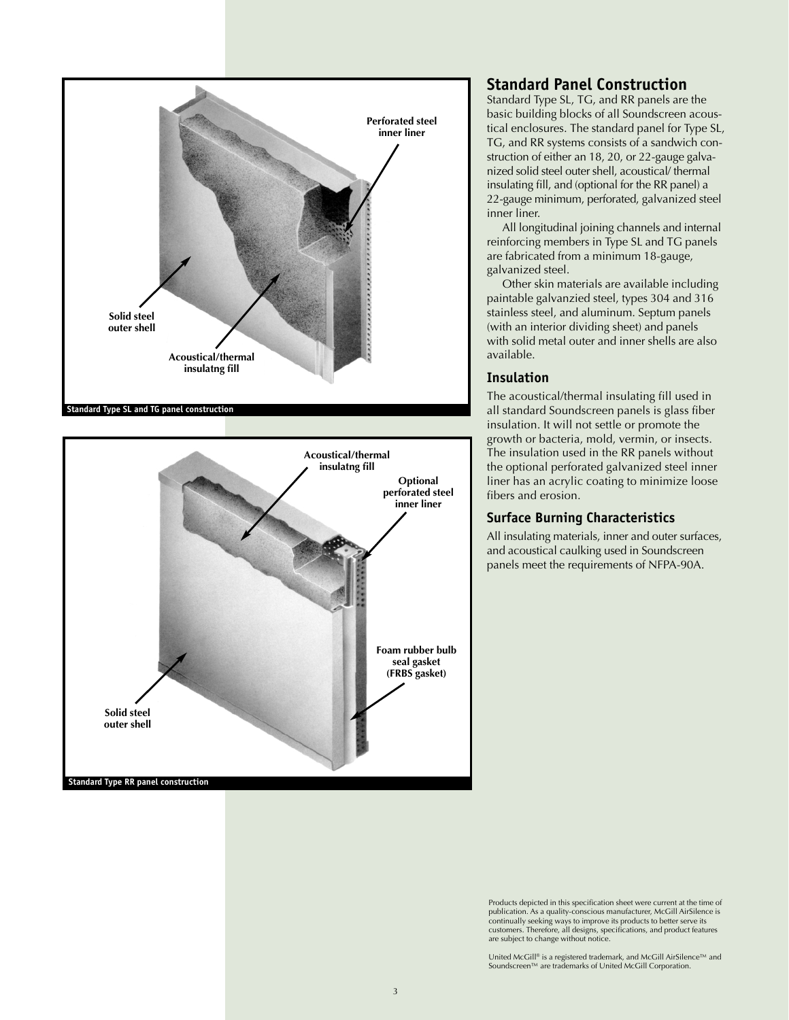



## **Standard Panel Construction**

Standard Type SL, TG, and RR panels are the basic building blocks of all Soundscreen acoustical enclosures. The standard panel for Type SL, TG, and RR systems consists of a sandwich construction of either an 18, 20, or 22-gauge galvanized solid steel outer shell, acoustical/ thermal insulating fill, and (optional for the RR panel) a 22-gauge minimum, perforated, galvanized steel inner liner.

All longitudinal joining channels and internal reinforcing members in Type SL and TG panels are fabricated from a minimum 18-gauge, galvanized steel.

Other skin materials are available including paintable galvanzied steel, types 304 and 316 stainless steel, and aluminum. Septum panels (with an interior dividing sheet) and panels with solid metal outer and inner shells are also available.

### **Insulation**

The acoustical/thermal insulating fill used in all standard Soundscreen panels is glass fiber insulation. It will not settle or promote the growth or bacteria, mold, vermin, or insects. The insulation used in the RR panels without the optional perforated galvanized steel inner liner has an acrylic coating to minimize loose fibers and erosion.

## **Surface Burning Characteristics**

All insulating materials, inner and outer surfaces, and acoustical caulking used in Soundscreen panels meet the requirements of NFPA-90A.

Products depicted in this specification sheet were current at the time of publication. As a quality-conscious manufacturer, McGill AirSilence is continually seeking ways to improve its products to better serve its customers. Therefore, all designs, specifications, and product features are subject to change without notice.

United McGill® is a registered trademark, and McGill AirSilence™ and Soundscreen™ are trademarks of United McGill Corporation.